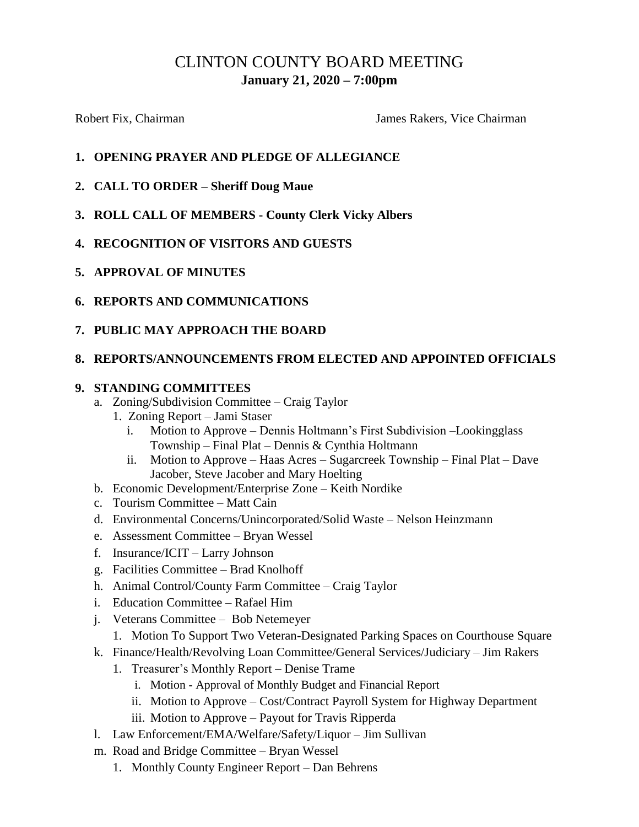# CLINTON COUNTY BOARD MEETING **January 21, 2020 – 7:00pm**

Robert Fix, Chairman **Fix, Chairman** James Rakers, Vice Chairman

# **1. OPENING PRAYER AND PLEDGE OF ALLEGIANCE**

- **2. CALL TO ORDER – Sheriff Doug Maue**
- **3. ROLL CALL OF MEMBERS - County Clerk Vicky Albers**
- **4. RECOGNITION OF VISITORS AND GUESTS**
- **5. APPROVAL OF MINUTES**
- **6. REPORTS AND COMMUNICATIONS**
- **7. PUBLIC MAY APPROACH THE BOARD**

# **8. REPORTS/ANNOUNCEMENTS FROM ELECTED AND APPOINTED OFFICIALS**

# **9. STANDING COMMITTEES**

- a. Zoning/Subdivision Committee Craig Taylor
	- 1. Zoning Report Jami Staser
		- Motion to Approve Dennis Holtmann's First Subdivision –Lookingglass Township – Final Plat – Dennis & Cynthia Holtmann
		- ii. Motion to Approve Haas Acres Sugarcreek Township Final Plat Dave Jacober, Steve Jacober and Mary Hoelting
- b. Economic Development/Enterprise Zone Keith Nordike
- c. Tourism Committee Matt Cain
- d. Environmental Concerns/Unincorporated/Solid Waste Nelson Heinzmann
- e. Assessment Committee Bryan Wessel
- f. Insurance/ICIT Larry Johnson
- g. Facilities Committee Brad Knolhoff
- h. Animal Control/County Farm Committee Craig Taylor
- i. Education Committee Rafael Him
- j. Veterans Committee Bob Netemeyer
	- 1. Motion To Support Two Veteran-Designated Parking Spaces on Courthouse Square
- k. Finance/Health/Revolving Loan Committee/General Services/Judiciary Jim Rakers
	- 1. Treasurer's Monthly Report Denise Trame
		- i. Motion Approval of Monthly Budget and Financial Report
		- ii. Motion to Approve Cost/Contract Payroll System for Highway Department
		- iii. Motion to Approve Payout for Travis Ripperda
- l. Law Enforcement/EMA/Welfare/Safety/Liquor Jim Sullivan
- m. Road and Bridge Committee Bryan Wessel
	- 1. Monthly County Engineer Report Dan Behrens